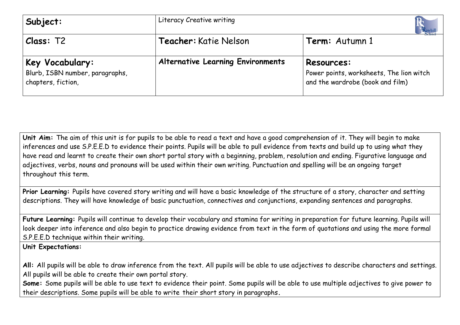| Subject:                                                                 | Literacy Creative writing                |                                                                                            |  |
|--------------------------------------------------------------------------|------------------------------------------|--------------------------------------------------------------------------------------------|--|
| Class: T2                                                                | Teacher: Katie Nelson                    | Term: Autumn 1                                                                             |  |
| Key Vocabulary:<br>Blurb, ISBN number, paragraphs,<br>chapters, fiction, | <b>Alternative Learning Environments</b> | Resources:<br>Power points, worksheets, The lion witch<br>and the wardrobe (book and film) |  |

**Unit Aim:** The aim of this unit is for pupils to be able to read a text and have a good comprehension of it. They will begin to make inferences and use S.P.E.E.D to evidence their points. Pupils will be able to pull evidence from texts and build up to using what they have read and learnt to create their own short portal story with a beginning, problem, resolution and ending. Figurative language and adjectives, verbs, nouns and pronouns will be used within their own writing. Punctuation and spelling will be an ongoing target throughout this term.

**Prior Learning:** Pupils have covered story writing and will have a basic knowledge of the structure of a story, character and setting descriptions. They will have knowledge of basic punctuation, connectives and conjunctions, expanding sentences and paragraphs.

Future Learning: Pupils will continue to develop their vocabulary and stamina for writing in preparation for future learning. Pupils will look deeper into inference and also begin to practice drawing evidence from text in the form of quotations and using the more formal S.P.E.E.D technique within their writing.

**Unit Expectations:** 

**All:** All pupils will be able to draw inference from the text. All pupils will be able to use adjectives to describe characters and settings. All pupils will be able to create their own portal story.

**Some:** Some pupils will be able to use text to evidence their point. Some pupils will be able to use multiple adjectives to give power to their descriptions. Some pupils will be able to write their short story in paragraphs**.**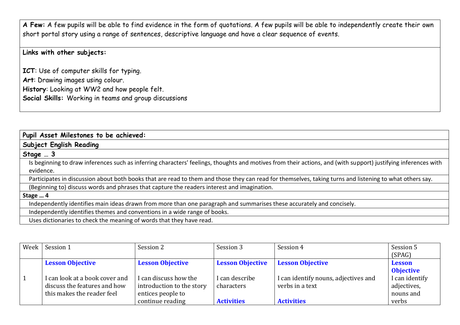**A Few:** A few pupils will be able to find evidence in the form of quotations. A few pupils will be able to independently create their own short portal story using a range of sentences, descriptive language and have a clear sequence of events.

**Links with other subjects:**

**ICT**: Use of computer skills for typing. **Art**: Drawing images using colour. **History**: Looking at WW2 and how people felt. **Social Skills:** Working in teams and group discussions

| Pupil Asset Milestones to be achieved:                                                                                                                         |
|----------------------------------------------------------------------------------------------------------------------------------------------------------------|
| Subject English Reading                                                                                                                                        |
| Stage $\ldots$ 3                                                                                                                                               |
| Is beginning to draw inferences such as inferring characters' feelings, thoughts and motives from their actions, and (with support) justifying inferences with |
| evidence.                                                                                                                                                      |
| Participates in discussion about both books that are read to them and those they can read for themselves, taking turns and listening to what others say.       |
| (Beginning to) discuss words and phrases that capture the readers interest and imagination.                                                                    |
| Stage  4                                                                                                                                                       |
| Independently identifies main ideas drawn from more than one paragraph and summarises these accurately and concisely.                                          |
| Independently identifies themes and conventions in a wide range of books.                                                                                      |
| Uses dictionaries to check the meaning of words that they have read.                                                                                           |

| Week | Session 1                                                                                    | Session 2                                                               | Session 3                    | Session 4                                               | Session 5<br>(SPAG)                        |
|------|----------------------------------------------------------------------------------------------|-------------------------------------------------------------------------|------------------------------|---------------------------------------------------------|--------------------------------------------|
|      | <b>Lesson Objective</b>                                                                      | <b>Lesson Objective</b>                                                 | <b>Lesson Objective</b>      | <b>Lesson Objective</b>                                 | <b>Lesson</b><br><b>Objective</b>          |
|      | I can look at a book cover and<br>discuss the features and how<br>this makes the reader feel | I can discuss how the<br>introduction to the story<br>entices people to | I can describe<br>characters | I can identify nouns, adjectives and<br>verbs in a text | I can identify<br>adjectives,<br>nouns and |
|      |                                                                                              | continue reading                                                        | <b>Activities</b>            | <b>Activities</b>                                       | verbs                                      |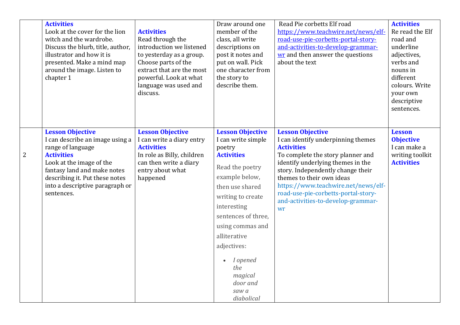|                | <b>Activities</b><br>Look at the cover for the lion<br>witch and the wardrobe.<br>Discuss the blurb, title, author,<br>illustrator and how it is<br>presented. Make a mind map<br>around the image. Listen to<br>chapter 1                         | <b>Activities</b><br>Read through the<br>introduction we listened<br>to yesterday as a group.<br>Choose parts of the<br>extract that are the most<br>powerful. Look at what<br>language was used and<br>discuss. | Draw around one<br>member of the<br>class, all write<br>descriptions on<br>post it notes and<br>put on wall. Pick<br>one character from<br>the story to<br>describe them.                                                                                                                                                        | Read Pie corbetts Elf road<br>https://www.teachwire.net/news/elf-<br>road-use-pie-corbetts-portal-story-<br>and-activities-to-develop-grammar-<br>wr and then answer the questions<br>about the text                                                                                                                                                     | <b>Activities</b><br>Re read the Elf<br>road and<br>underline<br>adjectives,<br>verbs and<br>nouns in<br>different<br>colours. Write<br>your own<br>descriptive<br>sentences. |
|----------------|----------------------------------------------------------------------------------------------------------------------------------------------------------------------------------------------------------------------------------------------------|------------------------------------------------------------------------------------------------------------------------------------------------------------------------------------------------------------------|----------------------------------------------------------------------------------------------------------------------------------------------------------------------------------------------------------------------------------------------------------------------------------------------------------------------------------|----------------------------------------------------------------------------------------------------------------------------------------------------------------------------------------------------------------------------------------------------------------------------------------------------------------------------------------------------------|-------------------------------------------------------------------------------------------------------------------------------------------------------------------------------|
| $\overline{2}$ | <b>Lesson Objective</b><br>I can describe an image using a<br>range of language<br><b>Activities</b><br>Look at the image of the<br>fantasy land and make notes<br>describing it. Put these notes<br>into a descriptive paragraph or<br>sentences. | <b>Lesson Objective</b><br>I can write a diary entry<br><b>Activities</b><br>In role as Billy, children<br>can then write a diary<br>entry about what<br>happened                                                | <b>Lesson Objective</b><br>I can write simple<br>poetry<br><b>Activities</b><br>Read the poetry<br>example below,<br>then use shared<br>writing to create<br>interesting<br>sentences of three,<br>using commas and<br>alliterative<br>adjectives:<br>I opened<br>$\bullet$<br>the<br>magical<br>door and<br>saw a<br>diabolical | <b>Lesson Objective</b><br>I can identify underpinning themes<br><b>Activities</b><br>To complete the story planner and<br>identify underlying themes in the<br>story. Independently change their<br>themes to their own ideas<br>https://www.teachwire.net/news/elf-<br>road-use-pie-corbetts-portal-story-<br>and-activities-to-develop-grammar-<br>wr | <b>Lesson</b><br><b>Objective</b><br>I can make a<br>writing toolkit<br><b>Activities</b>                                                                                     |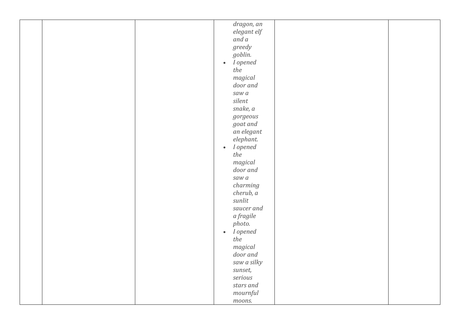|  | dragon, an            |  |
|--|-----------------------|--|
|  | elegant elf           |  |
|  | and a                 |  |
|  | greedy                |  |
|  | goblin.               |  |
|  | • I opened            |  |
|  |                       |  |
|  | the                   |  |
|  | magical               |  |
|  | door and              |  |
|  | saw a                 |  |
|  | silent                |  |
|  | snake, a              |  |
|  | $gorgeous$            |  |
|  | goat and              |  |
|  | an elegant            |  |
|  | elephant.             |  |
|  | I opened<br>$\bullet$ |  |
|  |                       |  |
|  | the                   |  |
|  | magical               |  |
|  | door and              |  |
|  | saw a                 |  |
|  | charming              |  |
|  | cherub, a             |  |
|  | sunlit                |  |
|  | saucer and            |  |
|  | a fragile             |  |
|  | photo.                |  |
|  | I opened<br>$\bullet$ |  |
|  | the                   |  |
|  | magical               |  |
|  | door and              |  |
|  |                       |  |
|  | saw a silky           |  |
|  | sunset,               |  |
|  | serious               |  |
|  | stars and             |  |
|  | mountful              |  |
|  | moons.                |  |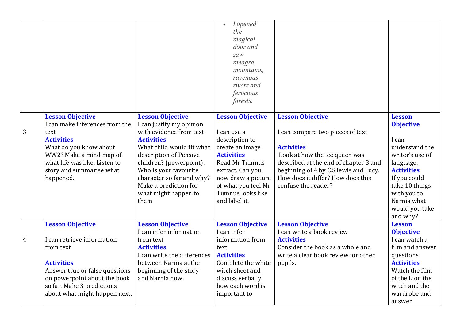|                |                                                                                                                                                                                                                          |                                                                                                                                                                                                                                                                           | I opened<br>$\bullet$<br>the<br>magical<br>door and<br>saw<br>meagre<br>mountains,<br>ravenous<br>rivers and<br>ferocious<br>forests.                                                          |                                                                                                                                                                                                                                      |                                                                                                                                                                                                |
|----------------|--------------------------------------------------------------------------------------------------------------------------------------------------------------------------------------------------------------------------|---------------------------------------------------------------------------------------------------------------------------------------------------------------------------------------------------------------------------------------------------------------------------|------------------------------------------------------------------------------------------------------------------------------------------------------------------------------------------------|--------------------------------------------------------------------------------------------------------------------------------------------------------------------------------------------------------------------------------------|------------------------------------------------------------------------------------------------------------------------------------------------------------------------------------------------|
|                | <b>Lesson Objective</b>                                                                                                                                                                                                  | <b>Lesson Objective</b>                                                                                                                                                                                                                                                   | <b>Lesson Objective</b>                                                                                                                                                                        | <b>Lesson Objective</b>                                                                                                                                                                                                              | <b>Lesson</b>                                                                                                                                                                                  |
| 3              | I can make inferences from the<br>text<br><b>Activities</b><br>What do you know about<br>WW2? Make a mind map of<br>what life was like. Listen to<br>story and summarise what<br>happened.                               | I can justify my opinion<br>with evidence from text<br><b>Activities</b><br>What child would fit what<br>description of Pensive<br>children? (powerpoint).<br>Who is your favourite<br>character so far and why?<br>Make a prediction for<br>what might happen to<br>them | I can use a<br>description to<br>create an image<br><b>Activities</b><br>Read Mr Tumnus<br>extract. Can you<br>now draw a picture<br>of what you feel Mr<br>Tumnus looks like<br>and label it. | I can compare two pieces of text<br><b>Activities</b><br>Look at how the ice queen was<br>described at the end of chapter 3 and<br>beginning of 4 by C.S lewis and Lucy.<br>How does it differ? How does this<br>confuse the reader? | <b>Objective</b><br>I can<br>understand the<br>writer's use of<br>language.<br><b>Activities</b><br>If you could<br>take 10 things<br>with you to<br>Narnia what<br>would you take<br>and why? |
| $\overline{4}$ | <b>Lesson Objective</b><br>I can retrieve information<br>from text<br><b>Activities</b><br>Answer true or false questions<br>on powerpoint about the book<br>so far. Make 3 predictions<br>about what might happen next, | <b>Lesson Objective</b><br>I can infer information<br>from text<br><b>Activities</b><br>I can write the differences<br>between Narnia at the<br>beginning of the story<br>and Narnia now.                                                                                 | <b>Lesson Objective</b><br>I can infer<br>information from<br>text<br><b>Activities</b><br>Complete the white<br>witch sheet and<br>discuss verbally<br>how each word is<br>important to       | <b>Lesson Objective</b><br>I can write a book review<br><b>Activities</b><br>Consider the book as a whole and<br>write a clear book review for other<br>pupils.                                                                      | <b>Lesson</b><br><b>Objective</b><br>I can watch a<br>film and answer<br>questions<br><b>Activities</b><br>Watch the film<br>of the Lion the<br>witch and the<br>wardrobe and<br>answer        |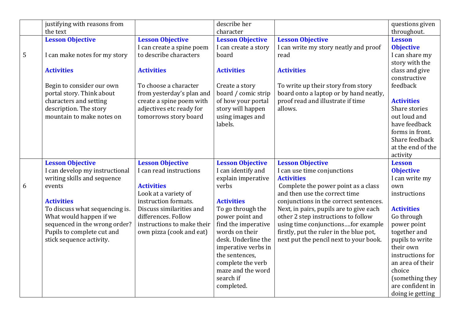|                 | justifying with reasons from   |                            | describe her            |                                         | questions given   |
|-----------------|--------------------------------|----------------------------|-------------------------|-----------------------------------------|-------------------|
|                 | the text                       |                            | character               |                                         | throughout.       |
|                 | <b>Lesson Objective</b>        | <b>Lesson Objective</b>    | <b>Lesson Objective</b> | <b>Lesson Objective</b>                 | <b>Lesson</b>     |
|                 |                                | I can create a spine poem  | I can create a story    | I can write my story neatly and proof   | <b>Objective</b>  |
| $5\phantom{.0}$ | I can make notes for my story  | to describe characters     | board                   | read                                    | I can share my    |
|                 |                                |                            |                         |                                         | story with the    |
|                 | <b>Activities</b>              | <b>Activities</b>          | <b>Activities</b>       | <b>Activities</b>                       | class and give    |
|                 |                                |                            |                         |                                         | constructive      |
|                 | Begin to consider our own      | To choose a character      | Create a story          | To write up their story from story      | feedback          |
|                 | portal story. Think about      | from yesterday's plan and  | board / comic strip     | board onto a laptop or by hand neatly,  |                   |
|                 | characters and setting         | create a spine poem with   | of how your portal      | proof read and illustrate if time       | <b>Activities</b> |
|                 | description. The story         | adjectives etc ready for   | story will happen       | allows.                                 | Share stories     |
|                 | mountain to make notes on      | tomorrows story board      | using images and        |                                         | out loud and      |
|                 |                                |                            | labels.                 |                                         | have feedback     |
|                 |                                |                            |                         |                                         | forms in front.   |
|                 |                                |                            |                         |                                         | Share feedback    |
|                 |                                |                            |                         |                                         | at the end of the |
|                 |                                |                            |                         |                                         | activity          |
|                 | <b>Lesson Objective</b>        | <b>Lesson Objective</b>    | <b>Lesson Objective</b> | <b>Lesson Objective</b>                 | <b>Lesson</b>     |
|                 | I can develop my instructional | I can read instructions    | I can identify and      | I can use time conjunctions             | <b>Objective</b>  |
|                 | writing skills and sequence    |                            | explain imperative      | <b>Activities</b>                       | I can write my    |
| 6               | events                         | <b>Activities</b>          | verbs                   | Complete the power point as a class     | own               |
|                 |                                | Look at a variety of       |                         | and then use the correct time           | instructions      |
|                 | <b>Activities</b>              | instruction formats.       | <b>Activities</b>       | conjunctions in the correct sentences.  |                   |
|                 | To discuss what sequencing is. | Discuss similarities and   | To go through the       | Next, in pairs, pupils are to give each | <b>Activities</b> |
|                 | What would happen if we        | differences. Follow        | power point and         | other 2 step instructions to follow     | Go through        |
|                 | sequenced in the wrong order?  | instructions to make their | find the imperative     | using time conjunctionsfor example      | power point       |
|                 | Pupils to complete cut and     | own pizza (cook and eat)   | words on their          | firstly, put the ruler in the blue pot, | together and      |
|                 | stick sequence activity.       |                            | desk. Underline the     | next put the pencil next to your book.  | pupils to write   |
|                 |                                |                            | imperative verbs in     |                                         | their own         |
|                 |                                |                            | the sentences,          |                                         | instructions for  |
|                 |                                |                            | complete the verb       |                                         | an area of their  |
|                 |                                |                            | maze and the word       |                                         | choice            |
|                 |                                |                            |                         |                                         |                   |
|                 |                                |                            | search if               |                                         | (something they   |
|                 |                                |                            | completed.              |                                         | are confident in  |